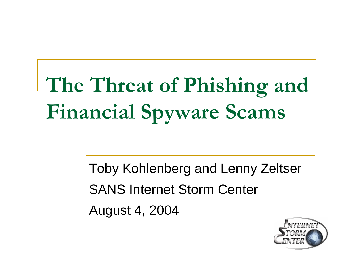## **The Threat of Phishing and Financial Spyware Scams**

Toby Kohlenberg and Lenny Zeltser SANS Internet Storm Center August 4, 2004

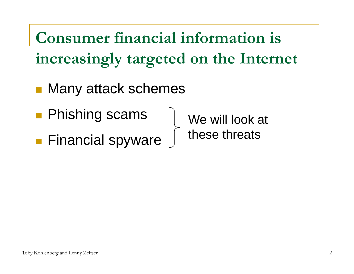**Consumer financial information is increasingly targeted on the Internet**

- Many attack schemes
- Phishing scams
- Financial spyware

We will look at these threats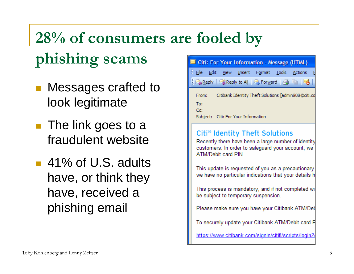## **28% of consumers are fooled by phishing scams**

- Messages crafted to look legitimate
- The link goes to a fraudulent website
- 41% of U.S. adults have, or think they have, received a phishing email



To securely update your Citibank ATM/Debit card P

https://www.citibank.com/signin/citifi/scripts/login2/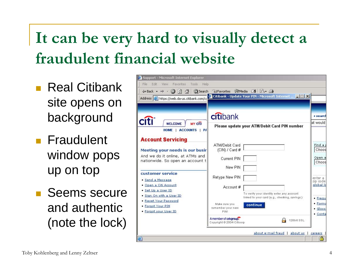## **It can be very hard to visually detect a fraudulent financial website**

- Real Citibank site opens on background
- **Fraudulent** window pops up on top
- Seems secure and authentic (note the lock)

| Support - Microsoft Internet Explorer                                                              |                                                         |                     |
|----------------------------------------------------------------------------------------------------|---------------------------------------------------------|---------------------|
| File<br>Edit<br>Favorites<br>View<br>Tools<br>Help                                                 |                                                         |                     |
| $\circ$ $\circ$ $\circ$<br>Search<br>图 Favorites ST Media 8 日 日 日<br>← Back ▼<br>$\Longrightarrow$ |                                                         |                     |
| Address <b>&amp;</b> https://web.da-us.citibank.com/co                                             | Citibank - Update Your PIN - Microsoft Internet  IIII X |                     |
|                                                                                                    |                                                         |                     |
|                                                                                                    |                                                         |                     |
|                                                                                                    | citibank                                                | · search            |
| <b>MY Citi</b><br><b>WELCOME</b>                                                                   | Please update your ATM/Debit Card PIN number            | lat would           |
| <b>ACCOUNTS</b><br><b>HOME</b><br>$ $ P/                                                           |                                                         |                     |
| <b>Account Servicing</b>                                                                           |                                                         |                     |
|                                                                                                    | ATM/Debit Card                                          | Find a              |
| Meeting your needs is our busir                                                                    | (CIN) / Card #                                          | Choos               |
| And we do it online, at ATMs and<br>nationwide. So open an account t                               | Current PIN                                             | Open a              |
|                                                                                                    | New PIN                                                 | Choos               |
| customer service                                                                                   |                                                         |                     |
| · Send a Message                                                                                   | Retype New PIN                                          | enter a<br>zip code |
| · Open a Citi Account                                                                              | Account#                                                | global Id           |
| · Set Up a User ID                                                                                 | To verify your identity enter any account               |                     |
| · Sign On with a User ID<br>· Reset Your Password                                                  | linked to your card (e.g., checking, savings.)          | • Frequ             |
| Forgot Your PIN                                                                                    | Make sure you<br>continue<br>remember your new          | • Forms             |
| · Forgot your User ID                                                                              | PIN!                                                    | · Gloss-<br>· Conta |
|                                                                                                    | A member of citigroup.<br>128bit SSL                    |                     |
|                                                                                                    | Copyright @ 2004 Citicorp                               |                     |
| about e-mail fraud   about us<br>careers                                                           |                                                         |                     |
| 画<br>욥                                                                                             |                                                         |                     |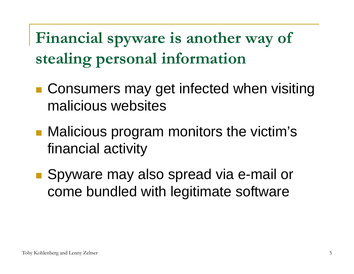**Financial spyware is another way of stealing personal information**

- Consumers may get infected when visiting malicious websites
- **Malicious program monitors the victim's** financial activity
- Spyware may also spread via e-mail or come bundled with legitimate software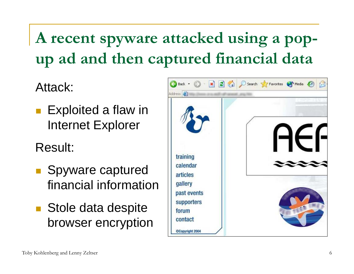**A recent spyware attacked using a popup ad and then captured financial data**

Attack:

■ Exploited a flaw in Internet Explorer

Result:

- **Spyware captured** financial information
- Stole data despite browser encryption

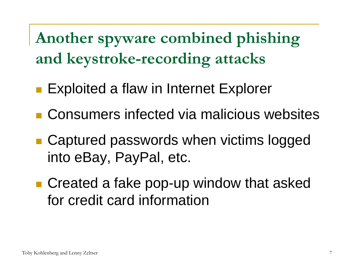**Another spyware combined phishing and keystroke-recording attacks**

- **Exploited a flaw in Internet Explorer**
- Consumers infected via malicious websites
- Captured passwords when victims logged into eBay, PayPal, etc.
- Created a fake pop-up window that asked for credit card information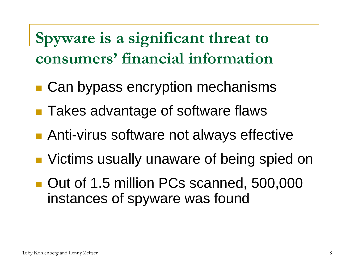**Spyware is a significant threat to consumers' financial information**

- Can bypass encryption mechanisms
- Takes advantage of software flaws
- ■ Anti-virus software not always effective
- **Number 10 Steams usually unaware of being spied on**
- Out of 1.5 million PCs scanned, 500,000 instances of spyware was found